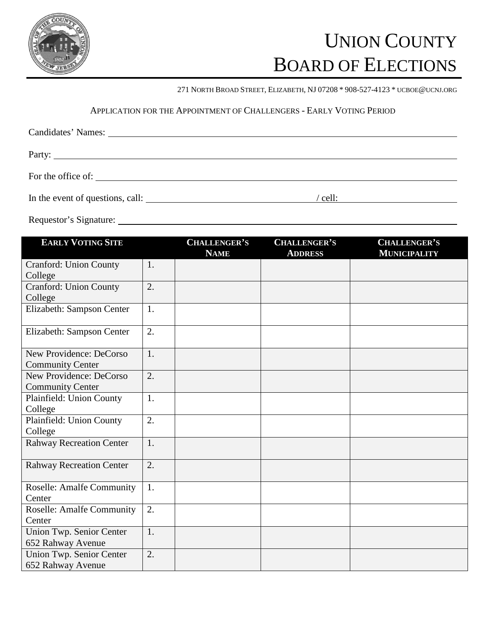

# UNION COUNTY BOARD OF ELECTIONS

271 NORTH BROAD STREET, ELIZABETH, NJ 07208 \* 908-527-4123 \* UCBOE@UCNJ.ORG

## APPLICATION FOR THE APPOINTMENT OF CHALLENGERS - EARLY VOTING PERIOD

| Party: |         |
|--------|---------|
|        |         |
|        | ' cell: |

Requestor's Signature:

| <b>EARLY VOTING SITE</b>                           |                  | <b>CHALLENGER'S</b><br><b>NAME</b> | <b>CHALLENGER'S</b><br><b>ADDRESS</b> | <b>CHALLENGER'S</b><br><b>MUNICIPALITY</b> |
|----------------------------------------------------|------------------|------------------------------------|---------------------------------------|--------------------------------------------|
| <b>Cranford: Union County</b><br>College           | 1.               |                                    |                                       |                                            |
| <b>Cranford: Union County</b><br>College           | 2.               |                                    |                                       |                                            |
| Elizabeth: Sampson Center                          | 1.               |                                    |                                       |                                            |
| Elizabeth: Sampson Center                          | 2.               |                                    |                                       |                                            |
| New Providence: DeCorso<br><b>Community Center</b> | 1.               |                                    |                                       |                                            |
| New Providence: DeCorso<br><b>Community Center</b> | $\overline{2}$ . |                                    |                                       |                                            |
| Plainfield: Union County<br>College                | 1.               |                                    |                                       |                                            |
| Plainfield: Union County<br>College                | $\overline{2}$ . |                                    |                                       |                                            |
| <b>Rahway Recreation Center</b>                    | 1.               |                                    |                                       |                                            |
| <b>Rahway Recreation Center</b>                    | 2.               |                                    |                                       |                                            |
| <b>Roselle: Amalfe Community</b><br>Center         | 1.               |                                    |                                       |                                            |
| <b>Roselle: Amalfe Community</b><br>Center         | 2.               |                                    |                                       |                                            |
| Union Twp. Senior Center<br>652 Rahway Avenue      | 1.               |                                    |                                       |                                            |
| Union Twp. Senior Center<br>652 Rahway Avenue      | 2.               |                                    |                                       |                                            |